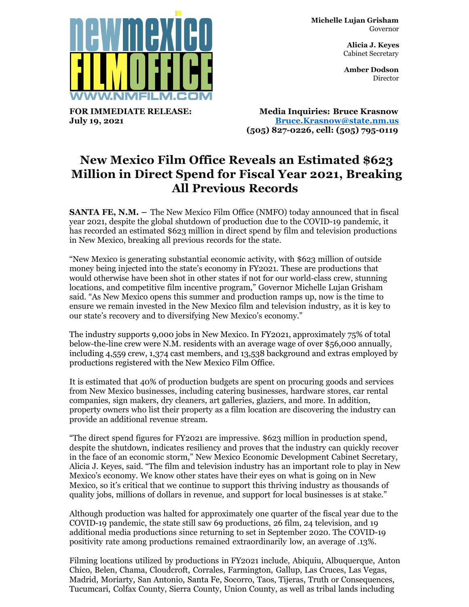

**FOR IMMEDIATE RELEASE: July 19, 2021**

**Michelle Lujan Grisham** Governor

> **Alicia J. Keyes** Cabinet Secretary

> **Amber Dodson Director**

**Media Inquiries: Bruce Krasnow [Bruce.Krasnow@state.nm.us](mailto:Bruce.Krasnow@state.nm.us) (505) 827-0226, cell: (505) 795-0119**

## **New Mexico Film Office Reveals an Estimated \$623 Million in Direct Spend for Fiscal Year 2021, Breaking All Previous Records**

**SANTA FE, N.M.** - The New Mexico Film Office (NMFO) today announced that in fiscal year 2021, despite the global shutdown of production due to the COVID-19 pandemic, it has recorded an estimated \$623 million in direct spend by film and television productions in New Mexico, breaking all previous records for the state.

"New Mexico is generating substantial economic activity, with \$623 million of outside money being injected into the state's economy in FY2021. These are productions that would otherwise have been shot in other states if not for our world-class crew, stunning locations, and competitive film incentive program," Governor Michelle Lujan Grisham said. "As New Mexico opens this summer and production ramps up, now is the time to ensure we remain invested in the New Mexico film and television industry, as it is key to our state's recovery and to diversifying New Mexico's economy."

The industry supports 9,000 jobs in New Mexico. In FY2021, approximately 75% of total below-the-line crew were N.M. residents with an average wage of over \$56,000 annually, including 4,559 crew, 1,374 cast members, and 13,538 background and extras employed by productions registered with the New Mexico Film Office.

It is estimated that 40% of production budgets are spent on procuring goods and services from New Mexico businesses, including catering businesses, hardware stores, car rental companies, sign makers, dry cleaners, art galleries, glaziers, and more. In addition, property owners who list their property as a film location are discovering the industry can provide an additional revenue stream.

"The direct spend figures for FY2021 are impressive. \$623 million in production spend, despite the shutdown, indicates resiliency and proves that the industry can quickly recover in the face of an economic storm," New Mexico Economic Development Cabinet Secretary, Alicia J. Keyes, said. "The film and television industry has an important role to play in New Mexico's economy. We know other states have their eyes on what is going on in New Mexico, so it's critical that we continue to support this thriving industry as thousands of quality jobs, millions of dollars in revenue, and support for local businesses is at stake."

Although production was halted for approximately one quarter of the fiscal year due to the COVID-19 pandemic, the state still saw 69 productions, 26 film, 24 television, and 19 additional media productions since returning to set in September 2020. The COVID-19 positivity rate among productions remained extraordinarily low, an average of .13%.

Filming locations utilized by productions in FY2021 include, Abiquiu, Albuquerque, Anton Chico, Belen, Chama, Cloudcroft, Corrales, Farmington, Gallup, Las Cruces, Las Vegas, Madrid, Moriarty, San Antonio, Santa Fe, Socorro, Taos, Tijeras, Truth or Consequences, Tucumcari, Colfax County, Sierra County, Union County, as well as tribal lands including